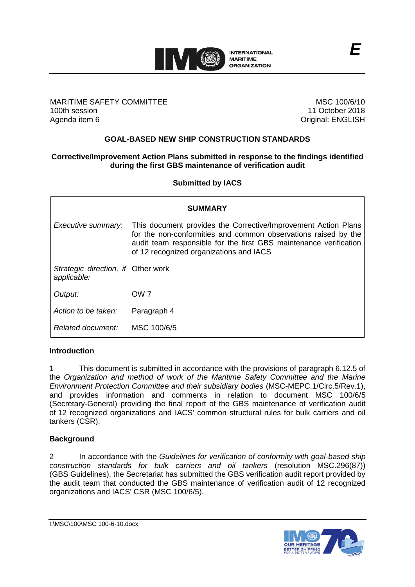

## MARITIME SAFETY COMMITTEE 100th session Agenda item 6

MSC 100/6/10 11 October 2018 Original: ENGLISH

# **GOAL-BASED NEW SHIP CONSTRUCTION STANDARDS**

## **Corrective/Improvement Action Plans submitted in response to the findings identified during the first GBS maintenance of verification audit**

## **Submitted by IACS**

| <b>SUMMARY</b>                                    |                                                                                                                                                                                                                                                  |  |
|---------------------------------------------------|--------------------------------------------------------------------------------------------------------------------------------------------------------------------------------------------------------------------------------------------------|--|
| Executive summary:                                | This document provides the Corrective/Improvement Action Plans<br>for the non-conformities and common observations raised by the<br>audit team responsible for the first GBS maintenance verification<br>of 12 recognized organizations and IACS |  |
| Strategic direction, if Other work<br>applicable: |                                                                                                                                                                                                                                                  |  |
| Output:                                           | OW <sub>7</sub>                                                                                                                                                                                                                                  |  |
| Action to be taken:                               | Paragraph 4                                                                                                                                                                                                                                      |  |
| Related document:                                 | MSC 100/6/5                                                                                                                                                                                                                                      |  |

### **Introduction**

1 This document is submitted in accordance with the provisions of paragraph 6.12.5 of the *Organization and method of work of the Maritime Safety Committee and the Marine Environment Protection Committee and their subsidiary bodies* (MSC-MEPC.1/Circ.5/Rev.1), and provides information and comments in relation to document MSC 100/6/5 (Secretary-General) providing the final report of the GBS maintenance of verification audit of 12 recognized organizations and IACS' common structural rules for bulk carriers and oil tankers (CSR).

## **Background**

2 In accordance with the *Guidelines for verification of conformity with goal-based ship construction standards for bulk carriers and oil tankers* (resolution MSC.296(87)) (GBS Guidelines), the Secretariat has submitted the GBS verification audit report provided by the audit team that conducted the GBS maintenance of verification audit of 12 recognized organizations and IACS' CSR (MSC 100/6/5).

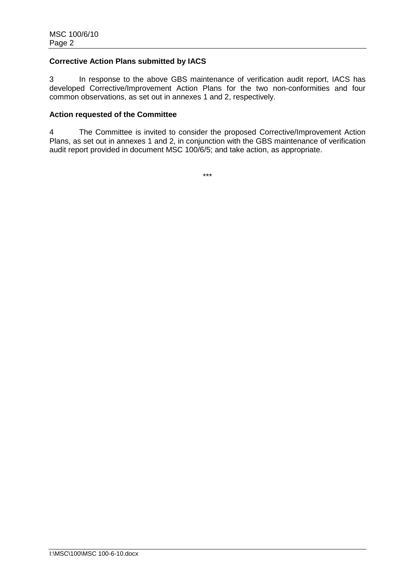## **Corrective Action Plans submitted by IACS**

3 In response to the above GBS maintenance of verification audit report, IACS has developed Corrective/Improvement Action Plans for the two non-conformities and four common observations, as set out in annexes 1 and 2, respectively.

## **Action requested of the Committee**

4 The Committee is invited to consider the proposed Corrective/Improvement Action Plans, as set out in annexes 1 and 2, in conjunction with the GBS maintenance of verification audit report provided in document MSC 100/6/5; and take action, as appropriate.

\*\*\*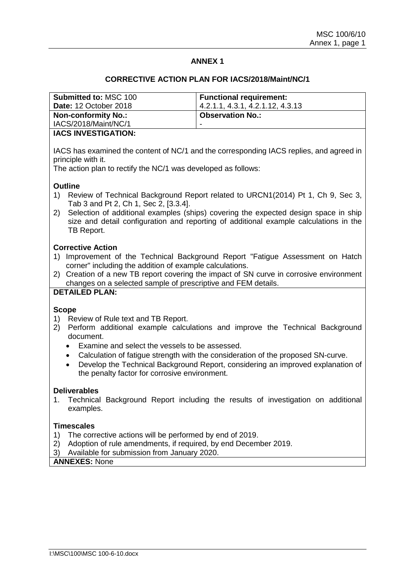## **ANNEX 1**

### **CORRECTIVE ACTION PLAN FOR IACS/2018/Maint/NC/1**

| <b>Submitted to: MSC 100</b><br><b>Date: 12 October 2018</b> | <b>Functional requirement:</b><br>4.2.1.1, 4.3.1, 4.2.1.12, 4.3.13 |
|--------------------------------------------------------------|--------------------------------------------------------------------|
| <b>Non-conformity No.:</b>                                   | <b>Observation No.:</b>                                            |
| IACS/2018/Maint/NC/1                                         | -                                                                  |
| <b>IACS INVESTICATION.</b>                                   |                                                                    |

### **IACS INVESTIGATION:**

IACS has examined the content of NC/1 and the corresponding IACS replies, and agreed in principle with it.

The action plan to rectify the NC/1 was developed as follows:

### **Outline**

- 1) Review of Technical Background Report related to URCN1(2014) Pt 1, Ch 9, Sec 3, Tab 3 and Pt 2, Ch 1, Sec 2, [3.3.4].
- 2) Selection of additional examples (ships) covering the expected design space in ship size and detail configuration and reporting of additional example calculations in the TB Report.

## **Corrective Action**

- 1) Improvement of the Technical Background Report "Fatigue Assessment on Hatch corner" including the addition of example calculations.
- 2) Creation of a new TB report covering the impact of SN curve in corrosive environment changes on a selected sample of prescriptive and FEM details.

## **DETAILED PLAN:**

#### **Scope**

- 1) Review of Rule text and TB Report.
- 2) Perform additional example calculations and improve the Technical Background document.
	- Examine and select the vessels to be assessed.
	- Calculation of fatigue strength with the consideration of the proposed SN-curve.
	- Develop the Technical Background Report, considering an improved explanation of the penalty factor for corrosive environment.

### **Deliverables**

1. Technical Background Report including the results of investigation on additional examples.

## **Timescales**

- 1) The corrective actions will be performed by end of 2019.
- 2) Adoption of rule amendments, if required, by end December 2019.
- 3) Available for submission from January 2020.

## **ANNEXES:** None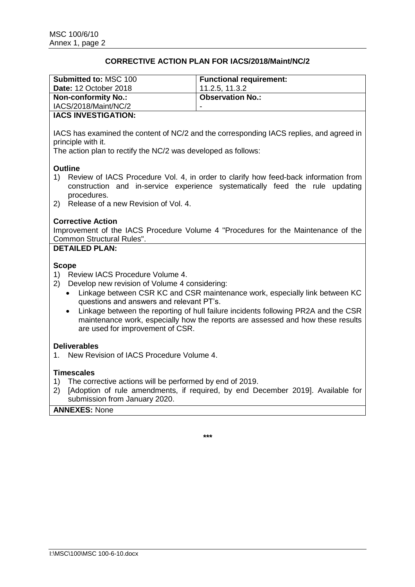## **CORRECTIVE ACTION PLAN FOR IACS/2018/Maint/NC/2**

| <b>Submitted to: MSC 100</b> | <b>Functional requirement:</b> |
|------------------------------|--------------------------------|
| <b>Date: 12 October 2018</b> | 11.2.5, 11.3.2                 |
| <b>Non-conformity No.:</b>   | <b>Observation No.:</b>        |
|                              |                                |
| IACS/2018/Maint/NC/2         | -                              |

## **IACS INVESTIGATION:**

IACS has examined the content of NC/2 and the corresponding IACS replies, and agreed in principle with it.

The action plan to rectify the NC/2 was developed as follows:

### **Outline**

- 1) Review of IACS Procedure Vol. 4, in order to clarify how feed-back information from construction and in-service experience systematically feed the rule updating procedures.
- 2) Release of a new Revision of Vol. 4.

### **Corrective Action**

Improvement of the IACS Procedure Volume 4 "Procedures for the Maintenance of the Common Structural Rules".

## **DETAILED PLAN:**

### **Scope**

- 1) Review IACS Procedure Volume 4.
- 2) Develop new revision of Volume 4 considering:
	- Linkage between CSR KC and CSR maintenance work, especially link between KC questions and answers and relevant PT's.
	- Linkage between the reporting of hull failure incidents following PR2A and the CSR maintenance work, especially how the reports are assessed and how these results are used for improvement of CSR.

### **Deliverables**

1. New Revision of IACS Procedure Volume 4.

### **Timescales**

- 1) The corrective actions will be performed by end of 2019.
- 2) [Adoption of rule amendments, if required, by end December 2019]. Available for submission from January 2020.

### **ANNEXES:** None

**\*\*\***